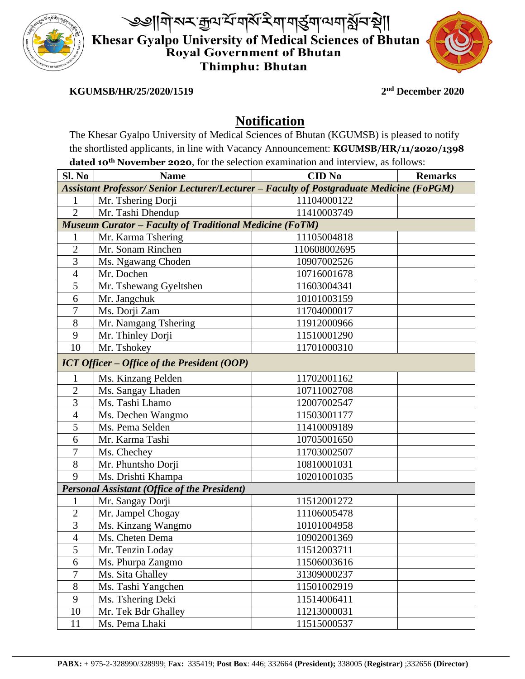

৩৩||নীপ্ৰস্ক্ৰূঅৰ্শনাৰ্থ ইনা নাৰ্ত্ত্বনা অনাৰ্থ্য বক্সী Khesar Gyalpo University of Medical Sciences of Bhutan Royal Government of Bhutan **Thimphu: Bhutan** 



**KGUMSB/HR/25/2020/1519 2**

## **nd December 2020**

# **Notification**

The Khesar Gyalpo University of Medical Sciences of Bhutan (KGUMSB) is pleased to notify the shortlisted applicants, in line with Vacancy Announcement: **KGUMSB/HR/11/2020/1398 dated 10th November 2020**, for the selection examination and interview, as follows:

| Sl. No                                                                                          | <b>Name</b>            | <b>CID No</b> | <b>Remarks</b> |
|-------------------------------------------------------------------------------------------------|------------------------|---------------|----------------|
| <b>Assistant Professor/ Senior Lecturer/Lecturer - Faculty of Postgraduate Medicine (FoPGM)</b> |                        |               |                |
| 1                                                                                               | Mr. Tshering Dorji     | 11104000122   |                |
| $\overline{2}$                                                                                  | Mr. Tashi Dhendup      | 11410003749   |                |
| <b>Museum Curator - Faculty of Traditional Medicine (FoTM)</b>                                  |                        |               |                |
| $\mathbf{1}$                                                                                    | Mr. Karma Tshering     | 11105004818   |                |
| $\overline{2}$                                                                                  | Mr. Sonam Rinchen      | 110608002695  |                |
| $\overline{3}$                                                                                  | Ms. Ngawang Choden     | 10907002526   |                |
| $\overline{4}$                                                                                  | Mr. Dochen             | 10716001678   |                |
| 5                                                                                               | Mr. Tshewang Gyeltshen | 11603004341   |                |
| 6                                                                                               | Mr. Jangchuk           | 10101003159   |                |
| 7                                                                                               | Ms. Dorji Zam          | 11704000017   |                |
| 8                                                                                               | Mr. Namgang Tshering   | 11912000966   |                |
| 9                                                                                               | Mr. Thinley Dorji      | 11510001290   |                |
| 10                                                                                              | Mr. Tshokey            | 11701000310   |                |
| ICT Officer – Office of the President $(OOP)$                                                   |                        |               |                |
| 1                                                                                               | Ms. Kinzang Pelden     | 11702001162   |                |
| $\overline{2}$                                                                                  | Ms. Sangay Lhaden      | 10711002708   |                |
| 3                                                                                               | Ms. Tashi Lhamo        | 12007002547   |                |
| $\overline{4}$                                                                                  | Ms. Dechen Wangmo      | 11503001177   |                |
| 5                                                                                               | Ms. Pema Selden        | 11410009189   |                |
| 6                                                                                               | Mr. Karma Tashi        | 10705001650   |                |
| 7                                                                                               | Ms. Chechey            | 11703002507   |                |
| 8                                                                                               | Mr. Phuntsho Dorji     | 10810001031   |                |
| 9                                                                                               | Ms. Drishti Khampa     | 10201001035   |                |
| <b>Personal Assistant (Office of the President)</b>                                             |                        |               |                |
| 1                                                                                               | Mr. Sangay Dorji       | 11512001272   |                |
| $\overline{2}$                                                                                  | Mr. Jampel Chogay      | 11106005478   |                |
| 3                                                                                               | Ms. Kinzang Wangmo     | 10101004958   |                |
| $\overline{4}$                                                                                  | Ms. Cheten Dema        | 10902001369   |                |
| 5                                                                                               | Mr. Tenzin Loday       | 11512003711   |                |
| 6                                                                                               | Ms. Phurpa Zangmo      | 11506003616   |                |
| $\overline{7}$                                                                                  | Ms. Sita Ghalley       | 31309000237   |                |
| $8\,$                                                                                           | Ms. Tashi Yangchen     | 11501002919   |                |
| 9                                                                                               | Ms. Tshering Deki      | 11514006411   |                |
| 10                                                                                              | Mr. Tek Bdr Ghalley    | 11213000031   |                |
| 11                                                                                              | Ms. Pema Lhaki         | 11515000537   |                |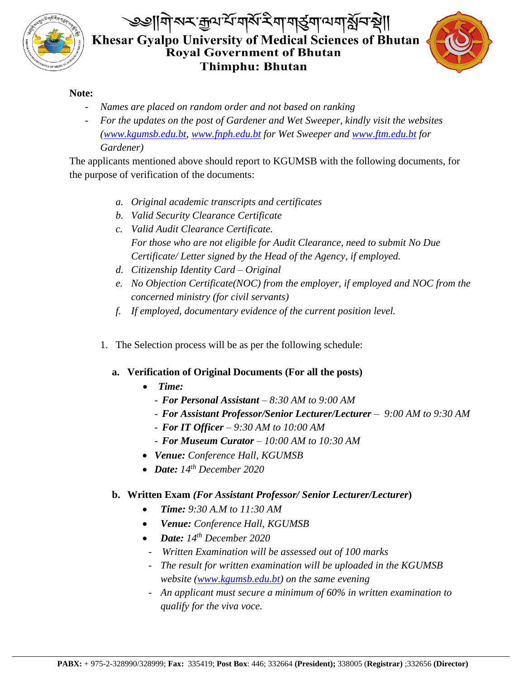

<u>৩৩||নীব্ৰ মন্মুন শিলাৰ্থ ইনা নাৰ্থনা লাভাৰ প্ৰদা</u> **Khesar Gyalpo University of Medical Sciences of Bhutan Royal Government of Bhutan Thimphu: Bhutan** 



## **Note:**

- *Names are placed on random order and not based on ranking*
- *For the updates on the post of Gardener and Wet Sweeper, kindly visit the websites [\(www.kgumsb.edu.bt,](http://www.kgumsb.edu.bt/) [www.fnph.edu.bt](http://www.fnph.edu.bt/) for Wet Sweeper and [www.ftm.edu.bt](http://www.ftm.edu.bt/) for Gardener)*

The applicants mentioned above should report to KGUMSB with the following documents, for the purpose of verification of the documents:

- *a. Original academic transcripts and certificates*
- *b. Valid Security Clearance Certificate*
- *c. Valid Audit Clearance Certificate. For those who are not eligible for Audit Clearance, need to submit No Due Certificate/ Letter signed by the Head of the Agency, if employed.*
- *d. Citizenship Identity Card – Original*
- *e. No Objection Certificate(NOC) from the employer, if employed and NOC from the concerned ministry (for civil servants)*
- *f. If employed, documentary evidence of the current position level.*
- 1. The Selection process will be as per the following schedule:

# **a. Verification of Original Documents (For all the posts)**

- *Time:* 
	- *For Personal Assistant – 8:30 AM to 9:00 AM*
	- *For Assistant Professor/Senior Lecturer/Lecturer – 9:00 AM to 9:30 AM*
	- *For IT Officer – 9:30 AM to 10:00 AM*
	- *For Museum Curator – 10:00 AM to 10:30 AM*
- *Venue: Conference Hall, KGUMSB*
- *Date: 14 th December 2020*

# **b. Written Exam** *(For Assistant Professor/ Senior Lecturer/Lecturer***)**

- *Time: 9:30 A.M to 11:30 AM*
- *Venue: Conference Hall, KGUMSB*
- *Date: 14th December 2020*
- *Written Examination will be assessed out of 100 marks*
- *The result for written examination will be uploaded in the KGUMSB website [\(www.kgumsb.edu.bt\)](http://www.kgumsb.edu.bt/) on the same evening*
- *An applicant must secure a minimum of 60% in written examination to qualify for the viva voce.*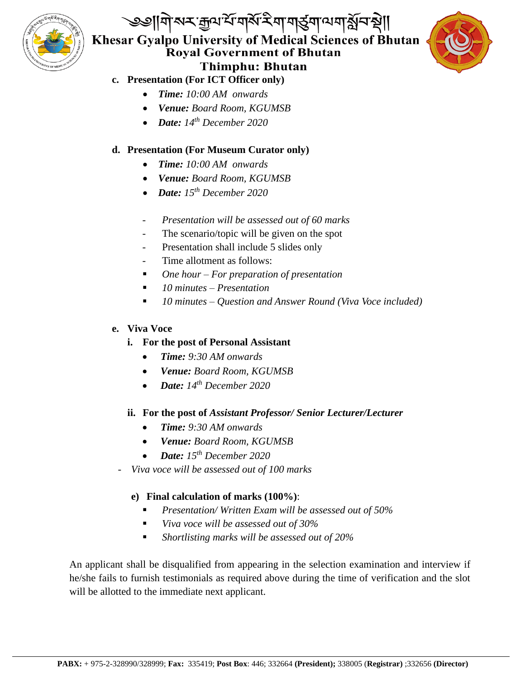

৩৩||নীপ্ৰস্ট্ৰন্যৰ্শনাৰ্থ ইনানাৰ্ষ্ট্ৰনালনাৰ্থ্যবন্থী| Khesar Gyalpo University of Medical Sciences of Bhutan **Royal Government of Bhutan Thimphu: Bhutan** 



#### **c. Presentation (For ICT Officer only)**

- *Time: 10:00 AM onwards*
- *Venue: Board Room, KGUMSB*
- *Date: 14th December 2020*

### **d. Presentation (For Museum Curator only)**

- *Time: 10:00 AM onwards*
- *Venue: Board Room, KGUMSB*
- *Date: 15th December 2020*
- *Presentation will be assessed out of 60 marks*
- The scenario/topic will be given on the spot
- Presentation shall include 5 slides only
- Time allotment as follows:
- *One hour – For preparation of presentation*
- *10 minutes – Presentation*
- *10 minutes – Question and Answer Round (Viva Voce included)*

#### **e. Viva Voce**

- **i. For the post of Personal Assistant**
	- *Time: 9:30 AM onwards*
	- *Venue: Board Room, KGUMSB*
	- *Date: 14th December 2020*

#### **ii. For the post of** *Assistant Professor/ Senior Lecturer/Lecturer*

- *Time: 9:30 AM onwards*
- *Venue: Board Room, KGUMSB*
- *Date: 15 th December 2020*
- *Viva voce will be assessed out of 100 marks*

#### **e) Final calculation of marks (100%)**:

- *Presentation/ Written Exam will be assessed out of 50%*
- *Viva voce will be assessed out of 30%*
- *Shortlisting marks will be assessed out of 20%*

An applicant shall be disqualified from appearing in the selection examination and interview if he/she fails to furnish testimonials as required above during the time of verification and the slot will be allotted to the immediate next applicant.